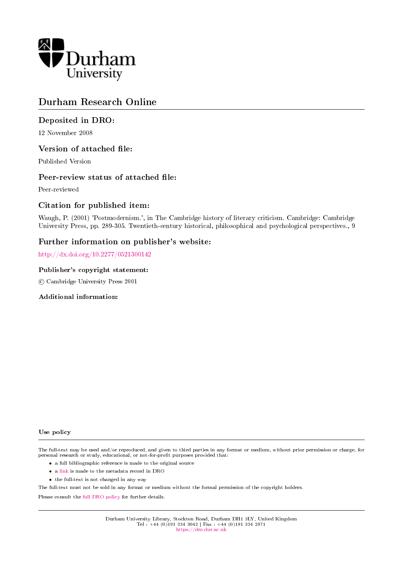

## Durham Research Online

## Deposited in DRO:

12 November 2008

## Version of attached file:

Published Version

## Peer-review status of attached file:

Peer-reviewed

## Citation for published item:

Waugh, P. (2001) 'Postmodernism.', in The Cambridge history of literary criticism. Cambridge: Cambridge University Press, pp. 289-305. Twentieth-century historical, philosophical and psychological perspectives., 9

## Further information on publisher's website:

<http://dx.doi.org/10.2277/0521300142>

#### Publisher's copyright statement:

c Cambridge University Press 2001

#### Additional information:

#### Use policy

The full-text may be used and/or reproduced, and given to third parties in any format or medium, without prior permission or charge, for personal research or study, educational, or not-for-profit purposes provided that:

- a full bibliographic reference is made to the original source
- a [link](http://dro.dur.ac.uk/4617/) is made to the metadata record in DRO
- the full-text is not changed in any way

The full-text must not be sold in any format or medium without the formal permission of the copyright holders.

Please consult the [full DRO policy](https://dro.dur.ac.uk/policies/usepolicy.pdf) for further details.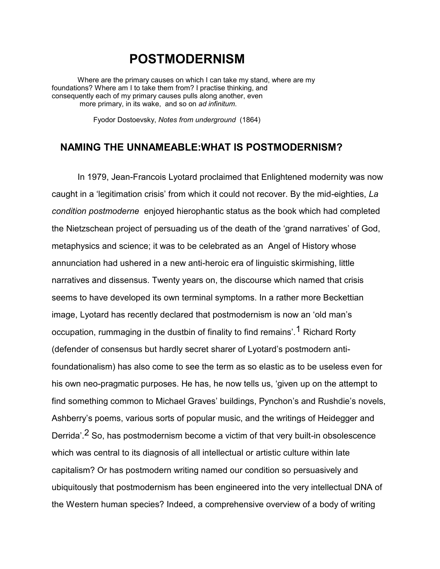# **POSTMODERNISM**

Where are the primary causes on which I can take my stand, where are my foundations? Where am I to take them from? I practise thinking, and consequently each of my primary causes pulls along another, even more primary, in its wake, and so on *ad infinitum*.

Fyodor Dostoevsky, *Notes from underground* (1864)

## **NAMING THE UNNAMEABLE:WHAT IS POSTMODERNISM?**

In 1979, Jean-Francois Lyotard proclaimed that Enlightened modernity was now caught in a 'legitimation crisis' from which it could not recover. By the mid-eighties, *La condition postmoderne* enjoyed hierophantic status as the book which had completed the Nietzschean project of persuading us of the death of the 'grand narratives' of God, metaphysics and science; it was to be celebrated as an Angel of History whose annunciation had ushered in a new anti-heroic era of linguistic skirmishing, little narratives and dissensus. Twenty years on, the discourse which named that crisis seems to have developed its own terminal symptoms. In a rather more Beckettian image, Lyotard has recently declared that postmodernism is now an 'old man's occupation, rummaging in the dustbin of finality to find remains'.<sup>1</sup> Richard Rorty (defender of consensus but hardly secret sharer of Lyotard's postmodern antifoundationalism) has also come to see the term as so elastic as to be useless even for his own neo-pragmatic purposes. He has, he now tells us, 'given up on the attempt to find something common to Michael Graves' buildings, Pynchon's and Rushdie's novels, Ashberry's poems, various sorts of popular music, and the writings of Heidegger and Derrida'.2 So, has postmodernism become a victim of that very built-in obsolescence which was central to its diagnosis of all intellectual or artistic culture within late capitalism? Or has postmodern writing named our condition so persuasively and ubiquitously that postmodernism has been engineered into the very intellectual DNA of the Western human species? Indeed, a comprehensive overview of a body of writing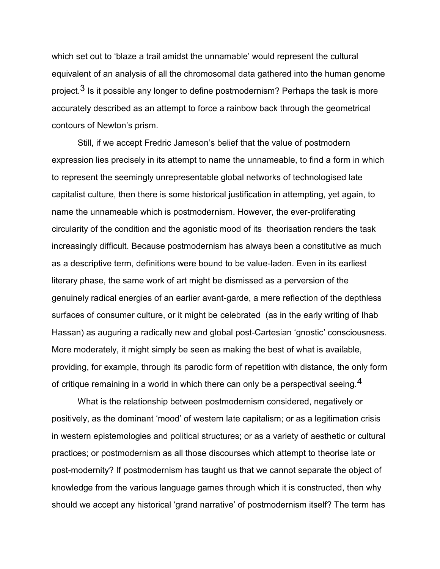which set out to 'blaze a trail amidst the unnamable' would represent the cultural equivalent of an analysis of all the chromosomal data gathered into the human genome project.<sup>3</sup> Is it possible any longer to define postmodernism? Perhaps the task is more accurately described as an attempt to force a rainbow back through the geometrical contours of Newton's prism.

Still, if we accept Fredric Jameson's belief that the value of postmodern expression lies precisely in its attempt to name the unnameable, to find a form in which to represent the seemingly unrepresentable global networks of technologised late capitalist culture, then there is some historical justification in attempting, yet again, to name the unnameable which is postmodernism. However, the ever-proliferating circularity of the condition and the agonistic mood of its theorisation renders the task increasingly difficult. Because postmodernism has always been a constitutive as much as a descriptive term, definitions were bound to be value-laden. Even in its earliest literary phase, the same work of art might be dismissed as a perversion of the genuinely radical energies of an earlier avant-garde, a mere reflection of the depthless surfaces of consumer culture, or it might be celebrated (as in the early writing of Ihab Hassan) as auguring a radically new and global post-Cartesian 'gnostic' consciousness. More moderately, it might simply be seen as making the best of what is available, providing, for example, through its parodic form of repetition with distance, the only form of critique remaining in a world in which there can only be a perspectival seeing.  $4$ 

What is the relationship between postmodernism considered, negatively or positively, as the dominant 'mood' of western late capitalism; or as a legitimation crisis in western epistemologies and political structures; or as a variety of aesthetic or cultural practices; or postmodernism as all those discourses which attempt to theorise late or post-modernity? If postmodernism has taught us that we cannot separate the object of knowledge from the various language games through which it is constructed, then why should we accept any historical 'grand narrative' of postmodernism itself? The term has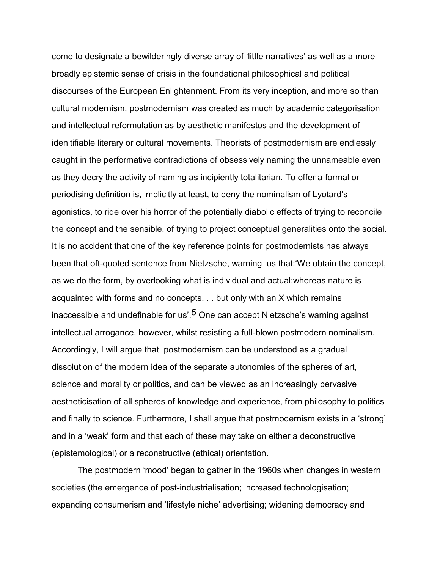come to designate a bewilderingly diverse array of 'little narratives' as well as a more broadly epistemic sense of crisis in the foundational philosophical and political discourses of the European Enlightenment. From its very inception, and more so than cultural modernism, postmodernism was created as much by academic categorisation and intellectual reformulation as by aesthetic manifestos and the development of idenitifiable literary or cultural movements. Theorists of postmodernism are endlessly caught in the performative contradictions of obsessively naming the unnameable even as they decry the activity of naming as incipiently totalitarian. To offer a formal or periodising definition is, implicitly at least, to deny the nominalism of Lyotard's agonistics, to ride over his horror of the potentially diabolic effects of trying to reconcile the concept and the sensible, of trying to project conceptual generalities onto the social. It is no accident that one of the key reference points for postmodernists has always been that oft-quoted sentence from Nietzsche, warning us that:'We obtain the concept, as we do the form, by overlooking what is individual and actual:whereas nature is acquainted with forms and no concepts. . . but only with an X which remains inaccessible and undefinable for us'.<sup>5</sup> One can accept Nietzsche's warning against intellectual arrogance, however, whilst resisting a full-blown postmodern nominalism. Accordingly, I will argue that postmodernism can be understood as a gradual dissolution of the modern idea of the separate autonomies of the spheres of art, science and morality or politics, and can be viewed as an increasingly pervasive aestheticisation of all spheres of knowledge and experience, from philosophy to politics and finally to science. Furthermore, I shall argue that postmodernism exists in a 'strong' and in a 'weak' form and that each of these may take on either a deconstructive (epistemological) or a reconstructive (ethical) orientation.

The postmodern 'mood' began to gather in the 1960s when changes in western societies (the emergence of post-industrialisation; increased technologisation; expanding consumerism and 'lifestyle niche' advertising; widening democracy and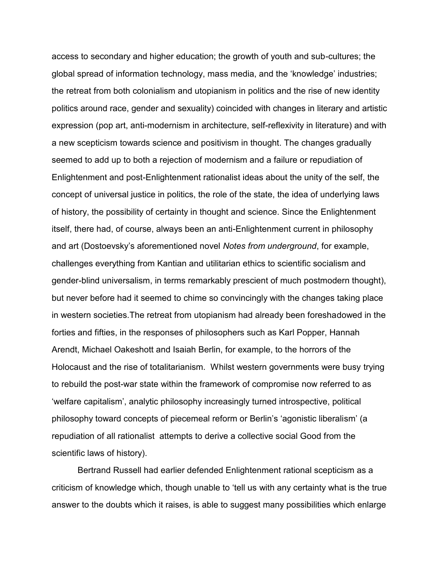access to secondary and higher education; the growth of youth and sub-cultures; the global spread of information technology, mass media, and the 'knowledge' industries; the retreat from both colonialism and utopianism in politics and the rise of new identity politics around race, gender and sexuality) coincided with changes in literary and artistic expression (pop art, anti-modernism in architecture, self-reflexivity in literature) and with a new scepticism towards science and positivism in thought. The changes gradually seemed to add up to both a rejection of modernism and a failure or repudiation of Enlightenment and post-Enlightenment rationalist ideas about the unity of the self, the concept of universal justice in politics, the role of the state, the idea of underlying laws of history, the possibility of certainty in thought and science. Since the Enlightenment itself, there had, of course, always been an anti-Enlightenment current in philosophy and art (Dostoevsky's aforementioned novel *Notes from underground*, for example, challenges everything from Kantian and utilitarian ethics to scientific socialism and gender-blind universalism, in terms remarkably prescient of much postmodern thought), but never before had it seemed to chime so convincingly with the changes taking place in western societies.The retreat from utopianism had already been foreshadowed in the forties and fifties, in the responses of philosophers such as Karl Popper, Hannah Arendt, Michael Oakeshott and Isaiah Berlin, for example, to the horrors of the Holocaust and the rise of totalitarianism. Whilst western governments were busy trying to rebuild the post-war state within the framework of compromise now referred to as 'welfare capitalism', analytic philosophy increasingly turned introspective, political philosophy toward concepts of piecemeal reform or Berlin's 'agonistic liberalism' (a repudiation of all rationalist attempts to derive a collective social Good from the scientific laws of history).

Bertrand Russell had earlier defended Enlightenment rational scepticism as a criticism of knowledge which, though unable to 'tell us with any certainty what is the true answer to the doubts which it raises, is able to suggest many possibilities which enlarge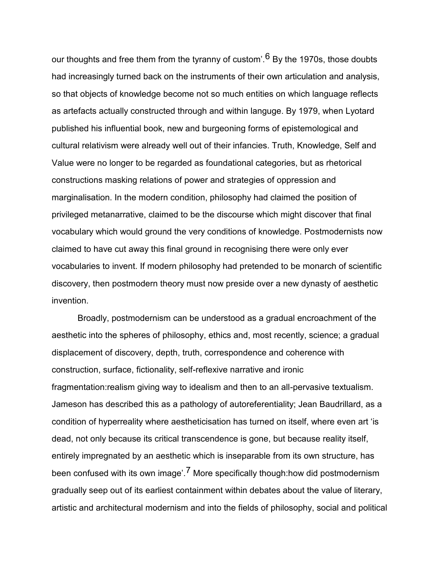our thoughts and free them from the tyranny of custom<sup>'. 6</sup> By the 1970s, those doubts had increasingly turned back on the instruments of their own articulation and analysis, so that objects of knowledge become not so much entities on which language reflects as artefacts actually constructed through and within languge. By 1979, when Lyotard published his influential book, new and burgeoning forms of epistemological and cultural relativism were already well out of their infancies. Truth, Knowledge, Self and Value were no longer to be regarded as foundational categories, but as rhetorical constructions masking relations of power and strategies of oppression and marginalisation. In the modern condition, philosophy had claimed the position of privileged metanarrative, claimed to be the discourse which might discover that final vocabulary which would ground the very conditions of knowledge. Postmodernists now claimed to have cut away this final ground in recognising there were only ever vocabularies to invent. If modern philosophy had pretended to be monarch of scientific discovery, then postmodern theory must now preside over a new dynasty of aesthetic invention.

Broadly, postmodernism can be understood as a gradual encroachment of the aesthetic into the spheres of philosophy, ethics and, most recently, science; a gradual displacement of discovery, depth, truth, correspondence and coherence with construction, surface, fictionality, self-reflexive narrative and ironic fragmentation:realism giving way to idealism and then to an all-pervasive textualism. Jameson has described this as a pathology of autoreferentiality; Jean Baudrillard, as a condition of hyperreality where aestheticisation has turned on itself, where even art 'is dead, not only because its critical transcendence is gone, but because reality itself, entirely impregnated by an aesthetic which is inseparable from its own structure, has been confused with its own image<sup>'.7</sup> More specifically though:how did postmodernism gradually seep out of its earliest containment within debates about the value of literary, artistic and architectural modernism and into the fields of philosophy, social and political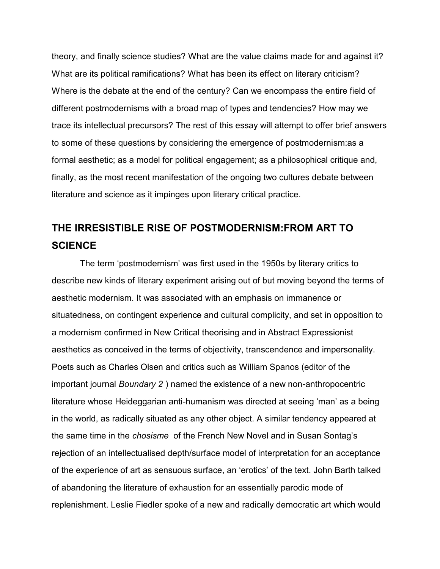theory, and finally science studies? What are the value claims made for and against it? What are its political ramifications? What has been its effect on literary criticism? Where is the debate at the end of the century? Can we encompass the entire field of different postmodernisms with a broad map of types and tendencies? How may we trace its intellectual precursors? The rest of this essay will attempt to offer brief answers to some of these questions by considering the emergence of postmodernism:as a formal aesthetic; as a model for political engagement; as a philosophical critique and, finally, as the most recent manifestation of the ongoing two cultures debate between literature and science as it impinges upon literary critical practice.

## **THE IRRESISTIBLE RISE OF POSTMODERNISM:FROM ART TO SCIENCE**

The term 'postmodernism' was first used in the 1950s by literary critics to describe new kinds of literary experiment arising out of but moving beyond the terms of aesthetic modernism. It was associated with an emphasis on immanence or situatedness, on contingent experience and cultural complicity, and set in opposition to a modernism confirmed in New Critical theorising and in Abstract Expressionist aesthetics as conceived in the terms of objectivity, transcendence and impersonality. Poets such as Charles Olsen and critics such as William Spanos (editor of the important journal *Boundary 2* ) named the existence of a new non-anthropocentric literature whose Heideggarian anti-humanism was directed at seeing 'man' as a being in the world, as radically situated as any other object. A similar tendency appeared at the same time in the *chosisme* of the French New Novel and in Susan Sontag's rejection of an intellectualised depth/surface model of interpretation for an acceptance of the experience of art as sensuous surface, an 'erotics' of the text. John Barth talked of abandoning the literature of exhaustion for an essentially parodic mode of replenishment. Leslie Fiedler spoke of a new and radically democratic art which would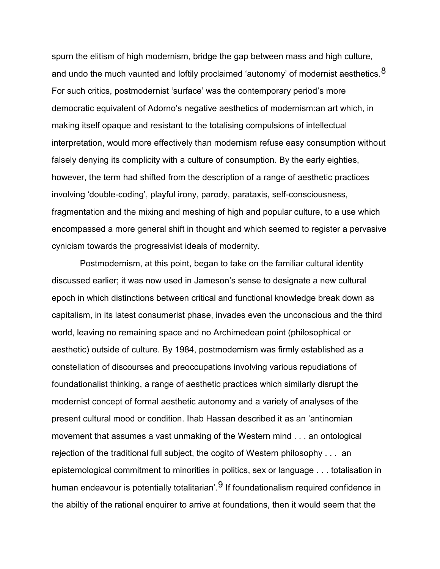spurn the elitism of high modernism, bridge the gap between mass and high culture, and undo the much vaunted and loftily proclaimed 'autonomy' of modernist aesthetics.<sup>8</sup> For such critics, postmodernist 'surface' was the contemporary period's more democratic equivalent of Adorno's negative aesthetics of modernism:an art which, in making itself opaque and resistant to the totalising compulsions of intellectual interpretation, would more effectively than modernism refuse easy consumption without falsely denying its complicity with a culture of consumption. By the early eighties, however, the term had shifted from the description of a range of aesthetic practices involving 'double-coding', playful irony, parody, parataxis, self-consciousness, fragmentation and the mixing and meshing of high and popular culture, to a use which encompassed a more general shift in thought and which seemed to register a pervasive cynicism towards the progressivist ideals of modernity.

Postmodernism, at this point, began to take on the familiar cultural identity discussed earlier; it was now used in Jameson's sense to designate a new cultural epoch in which distinctions between critical and functional knowledge break down as capitalism, in its latest consumerist phase, invades even the unconscious and the third world, leaving no remaining space and no Archimedean point (philosophical or aesthetic) outside of culture. By 1984, postmodernism was firmly established as a constellation of discourses and preoccupations involving various repudiations of foundationalist thinking, a range of aesthetic practices which similarly disrupt the modernist concept of formal aesthetic autonomy and a variety of analyses of the present cultural mood or condition. Ihab Hassan described it as an 'antinomian movement that assumes a vast unmaking of the Western mind . . . an ontological rejection of the traditional full subject, the cogito of Western philosophy . . . an epistemological commitment to minorities in politics, sex or language . . . totalisation in human endeavour is potentially totalitarian<sup>'.9</sup> If foundationalism required confidence in the abiltiy of the rational enquirer to arrive at foundations, then it would seem that the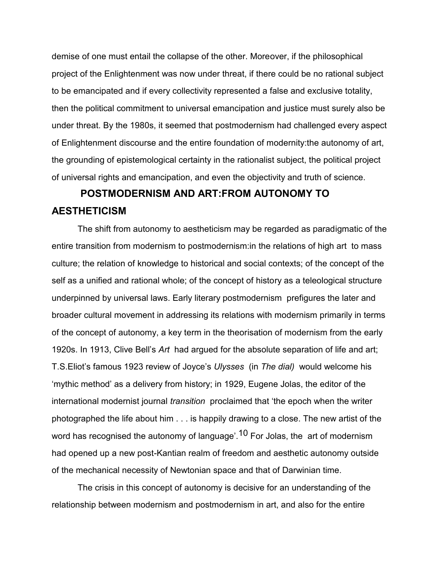demise of one must entail the collapse of the other. Moreover, if the philosophical project of the Enlightenment was now under threat, if there could be no rational subject to be emancipated and if every collectivity represented a false and exclusive totality, then the political commitment to universal emancipation and justice must surely also be under threat. By the 1980s, it seemed that postmodernism had challenged every aspect of Enlightenment discourse and the entire foundation of modernity:the autonomy of art, the grounding of epistemological certainty in the rationalist subject, the political project of universal rights and emancipation, and even the objectivity and truth of science.

## **POSTMODERNISM AND ART:FROM AUTONOMY TO AESTHETICISM**

The shift from autonomy to aestheticism may be regarded as paradigmatic of the entire transition from modernism to postmodernism:in the relations of high art to mass culture; the relation of knowledge to historical and social contexts; of the concept of the self as a unified and rational whole; of the concept of history as a teleological structure underpinned by universal laws. Early literary postmodernism prefigures the later and broader cultural movement in addressing its relations with modernism primarily in terms of the concept of autonomy, a key term in the theorisation of modernism from the early 1920s. In 1913, Clive Bell's *Art* had argued for the absolute separation of life and art; T.S.Eliot's famous 1923 review of Joyce's *Ulysses* (in *The dial)* would welcome his 'mythic method' as a delivery from history; in 1929, Eugene Jolas, the editor of the international modernist journal *transition* proclaimed that 'the epoch when the writer photographed the life about him . . . is happily drawing to a close. The new artist of the word has recognised the autonomy of language'.<sup>10</sup> For Jolas, the art of modernism had opened up a new post-Kantian realm of freedom and aesthetic autonomy outside of the mechanical necessity of Newtonian space and that of Darwinian time.

The crisis in this concept of autonomy is decisive for an understanding of the relationship between modernism and postmodernism in art, and also for the entire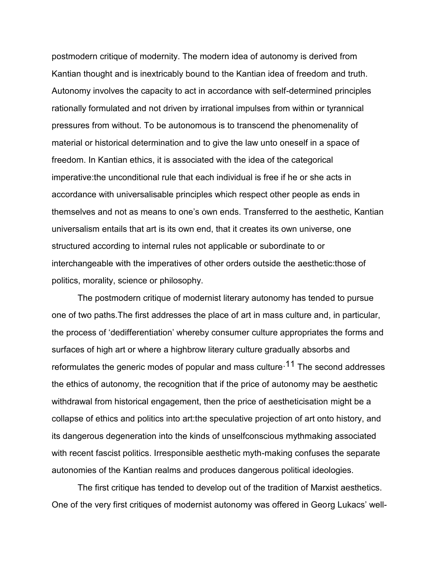postmodern critique of modernity. The modern idea of autonomy is derived from Kantian thought and is inextricably bound to the Kantian idea of freedom and truth. Autonomy involves the capacity to act in accordance with self-determined principles rationally formulated and not driven by irrational impulses from within or tyrannical pressures from without. To be autonomous is to transcend the phenomenality of material or historical determination and to give the law unto oneself in a space of freedom. In Kantian ethics, it is associated with the idea of the categorical imperative:the unconditional rule that each individual is free if he or she acts in accordance with universalisable principles which respect other people as ends in themselves and not as means to one's own ends. Transferred to the aesthetic, Kantian universalism entails that art is its own end, that it creates its own universe, one structured according to internal rules not applicable or subordinate to or interchangeable with the imperatives of other orders outside the aesthetic:those of politics, morality, science or philosophy.

The postmodern critique of modernist literary autonomy has tended to pursue one of two paths.The first addresses the place of art in mass culture and, in particular, the process of 'dedifferentiation' whereby consumer culture appropriates the forms and surfaces of high art or where a highbrow literary culture gradually absorbs and reformulates the generic modes of popular and mass culture.<sup>11</sup> The second addresses the ethics of autonomy, the recognition that if the price of autonomy may be aesthetic withdrawal from historical engagement, then the price of aestheticisation might be a collapse of ethics and politics into art:the speculative projection of art onto history, and its dangerous degeneration into the kinds of unselfconscious mythmaking associated with recent fascist politics. Irresponsible aesthetic myth-making confuses the separate autonomies of the Kantian realms and produces dangerous political ideologies.

The first critique has tended to develop out of the tradition of Marxist aesthetics. One of the very first critiques of modernist autonomy was offered in Georg Lukacs' well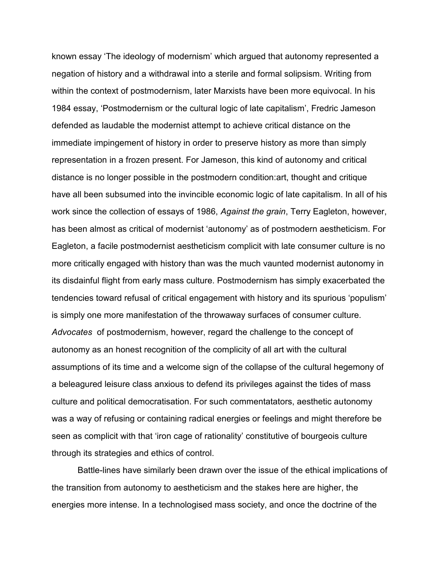known essay 'The ideology of modernism' which argued that autonomy represented a negation of history and a withdrawal into a sterile and formal solipsism. Writing from within the context of postmodernism, later Marxists have been more equivocal. In his 1984 essay, 'Postmodernism or the cultural logic of late capitalism', Fredric Jameson defended as laudable the modernist attempt to achieve critical distance on the immediate impingement of history in order to preserve history as more than simply representation in a frozen present. For Jameson, this kind of autonomy and critical distance is no longer possible in the postmodern condition:art, thought and critique have all been subsumed into the invincible economic logic of late capitalism. In all of his work since the collection of essays of 1986, *Against the grain*, Terry Eagleton, however, has been almost as critical of modernist 'autonomy' as of postmodern aestheticism. For Eagleton, a facile postmodernist aestheticism complicit with late consumer culture is no more critically engaged with history than was the much vaunted modernist autonomy in its disdainful flight from early mass culture. Postmodernism has simply exacerbated the tendencies toward refusal of critical engagement with history and its spurious 'populism' is simply one more manifestation of the throwaway surfaces of consumer culture. *Advocates* of postmodernism, however, regard the challenge to the concept of autonomy as an honest recognition of the complicity of all art with the cultural assumptions of its time and a welcome sign of the collapse of the cultural hegemony of a beleagured leisure class anxious to defend its privileges against the tides of mass culture and political democratisation. For such commentatators, aesthetic autonomy was a way of refusing or containing radical energies or feelings and might therefore be seen as complicit with that 'iron cage of rationality' constitutive of bourgeois culture through its strategies and ethics of control.

Battle-lines have similarly been drawn over the issue of the ethical implications of the transition from autonomy to aestheticism and the stakes here are higher, the energies more intense. In a technologised mass society, and once the doctrine of the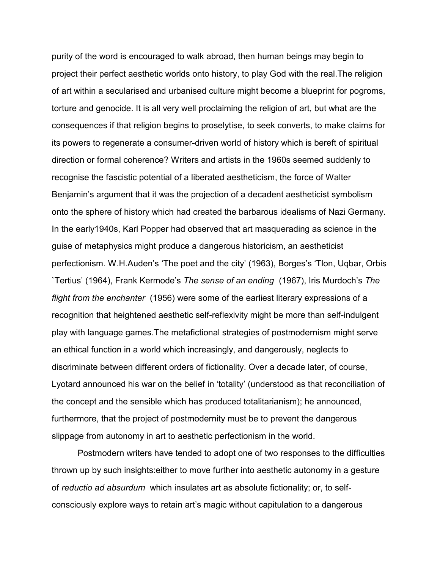purity of the word is encouraged to walk abroad, then human beings may begin to project their perfect aesthetic worlds onto history, to play God with the real.The religion of art within a secularised and urbanised culture might become a blueprint for pogroms, torture and genocide. It is all very well proclaiming the religion of art, but what are the consequences if that religion begins to proselytise, to seek converts, to make claims for its powers to regenerate a consumer-driven world of history which is bereft of spiritual direction or formal coherence? Writers and artists in the 1960s seemed suddenly to recognise the fascistic potential of a liberated aestheticism, the force of Walter Benjamin's argument that it was the projection of a decadent aestheticist symbolism onto the sphere of history which had created the barbarous idealisms of Nazi Germany. In the early1940s, Karl Popper had observed that art masquerading as science in the guise of metaphysics might produce a dangerous historicism, an aestheticist perfectionism. W.H.Auden's 'The poet and the city' (1963), Borges's 'Tlon, Uqbar, Orbis `Tertius' (1964), Frank Kermode's *The sense of an ending* (1967), Iris Murdoch's *The flight from the enchanter* (1956) were some of the earliest literary expressions of a recognition that heightened aesthetic self-reflexivity might be more than self-indulgent play with language games.The metafictional strategies of postmodernism might serve an ethical function in a world which increasingly, and dangerously, neglects to discriminate between different orders of fictionality. Over a decade later, of course, Lyotard announced his war on the belief in 'totality' (understood as that reconciliation of the concept and the sensible which has produced totalitarianism); he announced, furthermore, that the project of postmodernity must be to prevent the dangerous slippage from autonomy in art to aesthetic perfectionism in the world.

Postmodern writers have tended to adopt one of two responses to the difficulties thrown up by such insights:either to move further into aesthetic autonomy in a gesture of *reductio ad absurdum* which insulates art as absolute fictionality; or, to selfconsciously explore ways to retain art's magic without capitulation to a dangerous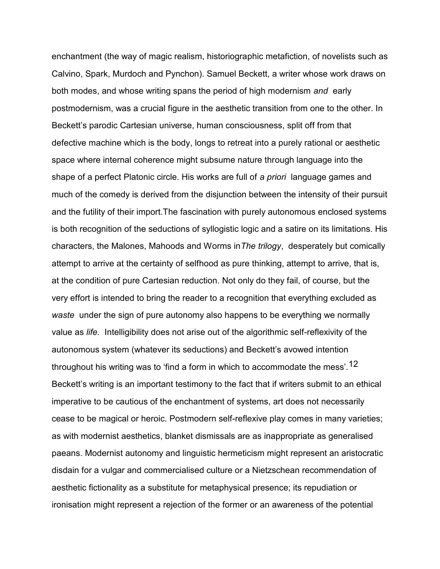enchantment (the way of magic realism, historiographic metafiction, of novelists such as Calvino, Spark, Murdoch and Pynchon). Samuel Beckett, a writer whose work draws on both modes, and whose writing spans the period of high modernism *and* early postmodernism, was a crucial figure in the aesthetic transition from one to the other. In Beckett's parodic Cartesian universe, human consciousness, split off from that defective machine which is the body, longs to retreat into a purely rational or aesthetic space where internal coherence might subsume nature through language into the shape of a perfect Platonic circle. His works are full of *a priori* language games and much of the comedy is derived from the disjunction between the intensity of their pursuit and the futility of their import.The fascination with purely autonomous enclosed systems is both recognition of the seductions of syllogistic logic and a satire on its limitations. His characters, the Malones, Mahoods and Worms in*The trilogy*, desperately but comically attempt to arrive at the certainty of selfhood as pure thinking, attempt to arrive, that is, at the condition of pure Cartesian reduction. Not only do they fail, of course, but the very effort is intended to bring the reader to a recognition that everything excluded as *waste* under the sign of pure autonomy also happens to be everything we normally value as *life.* Intelligibility does not arise out of the algorithmic self-reflexivity of the autonomous system (whatever its seductions) and Beckett's avowed intention throughout his writing was to 'find a form in which to accommodate the mess'.<sup>12</sup> Beckett's writing is an important testimony to the fact that if writers submit to an ethical imperative to be cautious of the enchantment of systems, art does not necessarily cease to be magical or heroic. Postmodern self-reflexive play comes in many varieties; as with modernist aesthetics, blanket dismissals are as inappropriate as generalised paeans. Modernist autonomy and linguistic hermeticism might represent an aristocratic disdain for a vulgar and commercialised culture or a Nietzschean recommendation of aesthetic fictionality as a substitute for metaphysical presence; its repudiation or ironisation might represent a rejection of the former or an awareness of the potential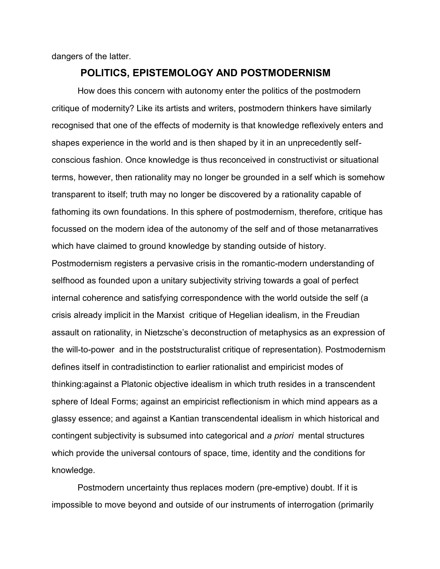dangers of the latter.

## **POLITICS, EPISTEMOLOGY AND POSTMODERNISM**

How does this concern with autonomy enter the politics of the postmodern critique of modernity? Like its artists and writers, postmodern thinkers have similarly recognised that one of the effects of modernity is that knowledge reflexively enters and shapes experience in the world and is then shaped by it in an unprecedently selfconscious fashion. Once knowledge is thus reconceived in constructivist or situational terms, however, then rationality may no longer be grounded in a self which is somehow transparent to itself; truth may no longer be discovered by a rationality capable of fathoming its own foundations. In this sphere of postmodernism, therefore, critique has focussed on the modern idea of the autonomy of the self and of those metanarratives which have claimed to ground knowledge by standing outside of history.

Postmodernism registers a pervasive crisis in the romantic-modern understanding of selfhood as founded upon a unitary subjectivity striving towards a goal of perfect internal coherence and satisfying correspondence with the world outside the self (a crisis already implicit in the Marxist critique of Hegelian idealism, in the Freudian assault on rationality, in Nietzsche's deconstruction of metaphysics as an expression of the will-to-power and in the poststructuralist critique of representation). Postmodernism defines itself in contradistinction to earlier rationalist and empiricist modes of thinking:against a Platonic objective idealism in which truth resides in a transcendent sphere of Ideal Forms; against an empiricist reflectionism in which mind appears as a glassy essence; and against a Kantian transcendental idealism in which historical and contingent subjectivity is subsumed into categorical and *a priori* mental structures which provide the universal contours of space, time, identity and the conditions for knowledge.

Postmodern uncertainty thus replaces modern (pre-emptive) doubt. If it is impossible to move beyond and outside of our instruments of interrogation (primarily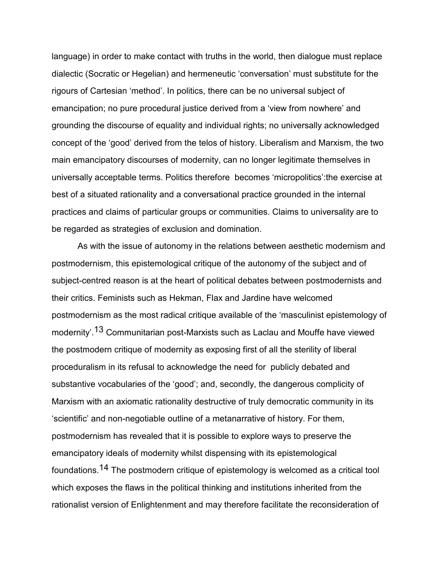language) in order to make contact with truths in the world, then dialogue must replace dialectic (Socratic or Hegelian) and hermeneutic 'conversation' must substitute for the rigours of Cartesian 'method'. In politics, there can be no universal subject of emancipation; no pure procedural justice derived from a 'view from nowhere' and grounding the discourse of equality and individual rights; no universally acknowledged concept of the 'good' derived from the telos of history. Liberalism and Marxism, the two main emancipatory discourses of modernity, can no longer legitimate themselves in universally acceptable terms. Politics therefore becomes 'micropolitics':the exercise at best of a situated rationality and a conversational practice grounded in the internal practices and claims of particular groups or communities. Claims to universality are to be regarded as strategies of exclusion and domination.

As with the issue of autonomy in the relations between aesthetic modernism and postmodernism, this epistemological critique of the autonomy of the subject and of subject-centred reason is at the heart of political debates between postmodernists and their critics. Feminists such as Hekman, Flax and Jardine have welcomed postmodernism as the most radical critique available of the 'masculinist epistemology of modernity'.13 Communitarian post-Marxists such as Laclau and Mouffe have viewed the postmodern critique of modernity as exposing first of all the sterility of liberal proceduralism in its refusal to acknowledge the need for publicly debated and substantive vocabularies of the 'good'; and, secondly, the dangerous complicity of Marxism with an axiomatic rationality destructive of truly democratic community in its 'scientific' and non-negotiable outline of a metanarrative of history. For them, postmodernism has revealed that it is possible to explore ways to preserve the emancipatory ideals of modernity whilst dispensing with its epistemological foundations.14 The postmodern critique of epistemology is welcomed as a critical tool which exposes the flaws in the political thinking and institutions inherited from the rationalist version of Enlightenment and may therefore facilitate the reconsideration of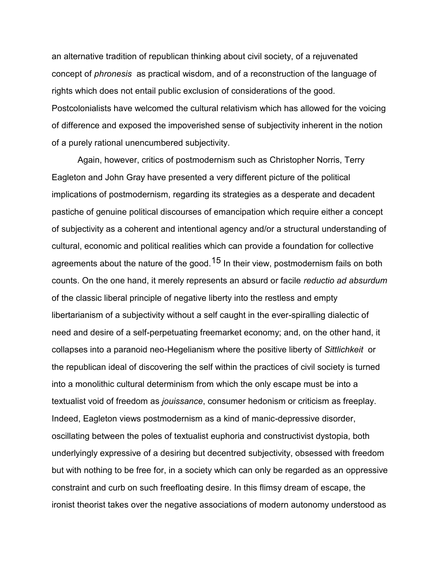an alternative tradition of republican thinking about civil society, of a rejuvenated concept of *phronesis* as practical wisdom, and of a reconstruction of the language of rights which does not entail public exclusion of considerations of the good. Postcolonialists have welcomed the cultural relativism which has allowed for the voicing of difference and exposed the impoverished sense of subjectivity inherent in the notion of a purely rational unencumbered subjectivity.

Again, however, critics of postmodernism such as Christopher Norris, Terry Eagleton and John Gray have presented a very different picture of the political implications of postmodernism, regarding its strategies as a desperate and decadent pastiche of genuine political discourses of emancipation which require either a concept of subjectivity as a coherent and intentional agency and/or a structural understanding of cultural, economic and political realities which can provide a foundation for collective agreements about the nature of the good.<sup>15</sup> In their view, postmodernism fails on both counts. On the one hand, it merely represents an absurd or facile *reductio ad absurdum*  of the classic liberal principle of negative liberty into the restless and empty libertarianism of a subjectivity without a self caught in the ever-spiralling dialectic of need and desire of a self-perpetuating freemarket economy; and, on the other hand, it collapses into a paranoid neo-Hegelianism where the positive liberty of *Sittlichkeit* or the republican ideal of discovering the self within the practices of civil society is turned into a monolithic cultural determinism from which the only escape must be into a textualist void of freedom as *jouissance*, consumer hedonism or criticism as freeplay. Indeed, Eagleton views postmodernism as a kind of manic-depressive disorder, oscillating between the poles of textualist euphoria and constructivist dystopia, both underlyingly expressive of a desiring but decentred subjectivity, obsessed with freedom but with nothing to be free for, in a society which can only be regarded as an oppressive constraint and curb on such freefloating desire. In this flimsy dream of escape, the ironist theorist takes over the negative associations of modern autonomy understood as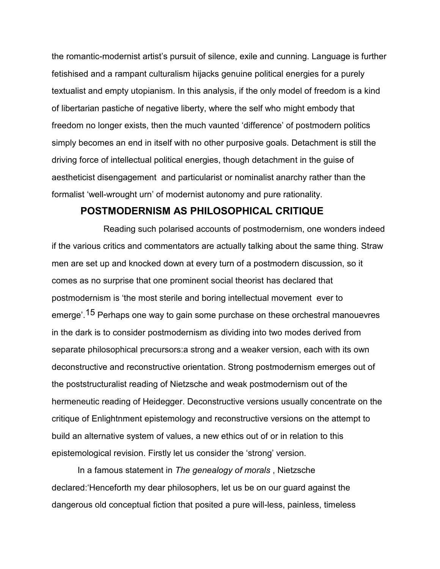the romantic-modernist artist's pursuit of silence, exile and cunning. Language is further fetishised and a rampant culturalism hijacks genuine political energies for a purely textualist and empty utopianism. In this analysis, if the only model of freedom is a kind of libertarian pastiche of negative liberty, where the self who might embody that freedom no longer exists, then the much vaunted 'difference' of postmodern politics simply becomes an end in itself with no other purposive goals. Detachment is still the driving force of intellectual political energies, though detachment in the guise of aestheticist disengagement and particularist or nominalist anarchy rather than the formalist 'well-wrought urn' of modernist autonomy and pure rationality.

## **POSTMODERNISM AS PHILOSOPHICAL CRITIQUE**

Reading such polarised accounts of postmodernism, one wonders indeed if the various critics and commentators are actually talking about the same thing. Straw men are set up and knocked down at every turn of a postmodern discussion, so it comes as no surprise that one prominent social theorist has declared that postmodernism is 'the most sterile and boring intellectual movement ever to emerge'.15 Perhaps one way to gain some purchase on these orchestral manouevres in the dark is to consider postmodernism as dividing into two modes derived from separate philosophical precursors:a strong and a weaker version, each with its own deconstructive and reconstructive orientation. Strong postmodernism emerges out of the poststructuralist reading of Nietzsche and weak postmodernism out of the hermeneutic reading of Heidegger. Deconstructive versions usually concentrate on the critique of Enlightnment epistemology and reconstructive versions on the attempt to build an alternative system of values, a new ethics out of or in relation to this epistemological revision. Firstly let us consider the 'strong' version.

In a famous statement in *The genealogy of morals* , Nietzsche declared:'Henceforth my dear philosophers, let us be on our guard against the dangerous old conceptual fiction that posited a pure will-less, painless, timeless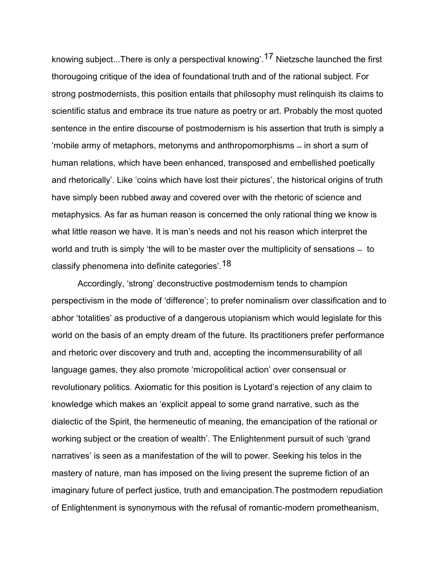knowing subject...There is only a perspectival knowing'.17 Nietzsche launched the first thorougoing critique of the idea of foundational truth and of the rational subject. For strong postmodernists, this position entails that philosophy must relinquish its claims to scientific status and embrace its true nature as poetry or art. Probably the most quoted sentence in the entire discourse of postmodernism is his assertion that truth is simply a 'mobile army of metaphors, metonyms and anthropomorphisms \_ in short a sum of human relations, which have been enhanced, transposed and embellished poetically and rhetorically'. Like 'coins which have lost their pictures', the historical origins of truth have simply been rubbed away and covered over with the rhetoric of science and metaphysics. As far as human reason is concerned the only rational thing we know is what little reason we have. It is man's needs and not his reason which interpret the world and truth is simply 'the will to be master over the multiplicity of sensations – to classify phenomena into definite categories'.18

Accordingly, 'strong' deconstructive postmodernism tends to champion perspectivism in the mode of 'difference'; to prefer nominalism over classification and to abhor 'totalities' as productive of a dangerous utopianism which would legislate for this world on the basis of an empty dream of the future. Its practitioners prefer performance and rhetoric over discovery and truth and, accepting the incommensurability of all language games, they also promote 'micropolitical action' over consensual or revolutionary politics. Axiomatic for this position is Lyotard's rejection of any claim to knowledge which makes an 'explicit appeal to some grand narrative, such as the dialectic of the Spirit, the hermeneutic of meaning, the emancipation of the rational or working subject or the creation of wealth'. The Enlightenment pursuit of such 'grand narratives' is seen as a manifestation of the will to power. Seeking his telos in the mastery of nature, man has imposed on the living present the supreme fiction of an imaginary future of perfect justice, truth and emancipation.The postmodern repudiation of Enlightenment is synonymous with the refusal of romantic-modern prometheanism,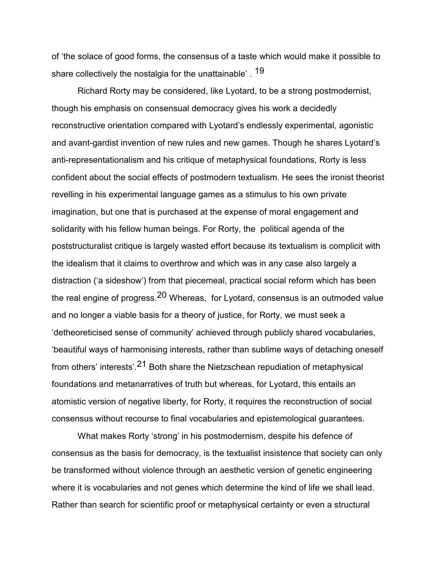of 'the solace of good forms, the consensus of a taste which would make it possible to share collectively the nostalgia for the unattainable<sup>'</sup>. <sup>19</sup>

Richard Rorty may be considered, like Lyotard, to be a strong postmodernist, though his emphasis on consensual democracy gives his work a decidedly reconstructive orientation compared with Lyotard's endlessly experimental, agonistic and avant-gardist invention of new rules and new games. Though he shares Lyotard's anti-representationalism and his critique of metaphysical foundations, Rorty is less confident about the social effects of postmodern textualism. He sees the ironist theorist revelling in his experimental language games as a stimulus to his own private imagination, but one that is purchased at the expense of moral engagement and solidarity with his fellow human beings. For Rorty, the political agenda of the poststructuralist critique is largely wasted effort because its textualism is complicit with the idealism that it claims to overthrow and which was in any case also largely a distraction ('a sideshow') from that piecemeal, practical social reform which has been the real engine of progress.<sup>20</sup> Whereas, for Lyotard, consensus is an outmoded value and no longer a viable basis for a theory of justice, for Rorty, we must seek a 'detheoreticised sense of community' achieved through publicly shared vocabularies, 'beautiful ways of harmonising interests, rather than sublime ways of detaching oneself from others' interests'.21 Both share the Nietzschean repudiation of metaphysical foundations and metanarratives of truth but whereas, for Lyotard, this entails an atomistic version of negative liberty, for Rorty, it requires the reconstruction of social consensus without recourse to final vocabularies and epistemological guarantees.

What makes Rorty 'strong' in his postmodernism, despite his defence of consensus as the basis for democracy, is the textualist insistence that society can only be transformed without violence through an aesthetic version of genetic engineering where it is vocabularies and not genes which determine the kind of life we shall lead. Rather than search for scientific proof or metaphysical certainty or even a structural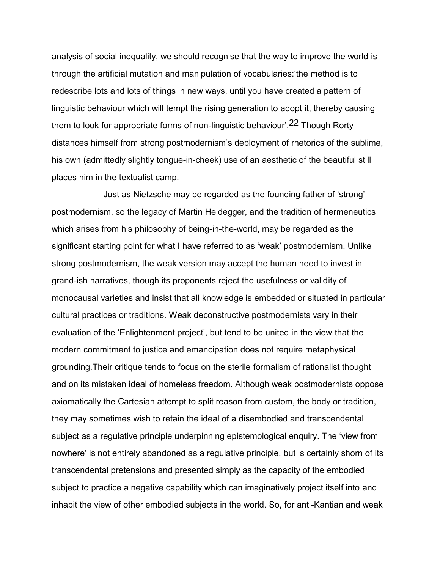analysis of social inequality, we should recognise that the way to improve the world is through the artificial mutation and manipulation of vocabularies:'the method is to redescribe lots and lots of things in new ways, until you have created a pattern of linguistic behaviour which will tempt the rising generation to adopt it, thereby causing them to look for appropriate forms of non-linguistic behaviour<sup>'</sup>.<sup>22</sup> Though Rorty distances himself from strong postmodernism's deployment of rhetorics of the sublime, his own (admittedly slightly tongue-in-cheek) use of an aesthetic of the beautiful still places him in the textualist camp.

Just as Nietzsche may be regarded as the founding father of 'strong' postmodernism, so the legacy of Martin Heidegger, and the tradition of hermeneutics which arises from his philosophy of being-in-the-world, may be regarded as the significant starting point for what I have referred to as 'weak' postmodernism. Unlike strong postmodernism, the weak version may accept the human need to invest in grand-ish narratives, though its proponents reject the usefulness or validity of monocausal varieties and insist that all knowledge is embedded or situated in particular cultural practices or traditions. Weak deconstructive postmodernists vary in their evaluation of the 'Enlightenment project', but tend to be united in the view that the modern commitment to justice and emancipation does not require metaphysical grounding.Their critique tends to focus on the sterile formalism of rationalist thought and on its mistaken ideal of homeless freedom. Although weak postmodernists oppose axiomatically the Cartesian attempt to split reason from custom, the body or tradition, they may sometimes wish to retain the ideal of a disembodied and transcendental subject as a regulative principle underpinning epistemological enquiry. The 'view from nowhere' is not entirely abandoned as a regulative principle, but is certainly shorn of its transcendental pretensions and presented simply as the capacity of the embodied subject to practice a negative capability which can imaginatively project itself into and inhabit the view of other embodied subjects in the world. So, for anti-Kantian and weak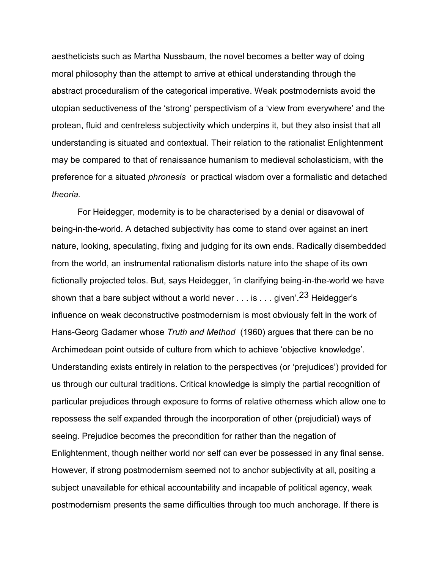aestheticists such as Martha Nussbaum, the novel becomes a better way of doing moral philosophy than the attempt to arrive at ethical understanding through the abstract proceduralism of the categorical imperative. Weak postmodernists avoid the utopian seductiveness of the 'strong' perspectivism of a 'view from everywhere' and the protean, fluid and centreless subjectivity which underpins it, but they also insist that all understanding is situated and contextual. Their relation to the rationalist Enlightenment may be compared to that of renaissance humanism to medieval scholasticism, with the preference for a situated *phronesis* or practical wisdom over a formalistic and detached *theoria.*

For Heidegger, modernity is to be characterised by a denial or disavowal of being-in-the-world. A detached subjectivity has come to stand over against an inert nature, looking, speculating, fixing and judging for its own ends. Radically disembedded from the world, an instrumental rationalism distorts nature into the shape of its own fictionally projected telos. But, says Heidegger, 'in clarifying being-in-the-world we have shown that a bare subject without a world never  $\dots$  is  $\dots$  given<sup>'. 23</sup> Heidegger's influence on weak deconstructive postmodernism is most obviously felt in the work of Hans-Georg Gadamer whose *Truth and Method* (1960) argues that there can be no Archimedean point outside of culture from which to achieve 'objective knowledge'. Understanding exists entirely in relation to the perspectives (or 'prejudices') provided for us through our cultural traditions. Critical knowledge is simply the partial recognition of particular prejudices through exposure to forms of relative otherness which allow one to repossess the self expanded through the incorporation of other (prejudicial) ways of seeing. Prejudice becomes the precondition for rather than the negation of Enlightenment, though neither world nor self can ever be possessed in any final sense. However, if strong postmodernism seemed not to anchor subjectivity at all, positing a subject unavailable for ethical accountability and incapable of political agency, weak postmodernism presents the same difficulties through too much anchorage. If there is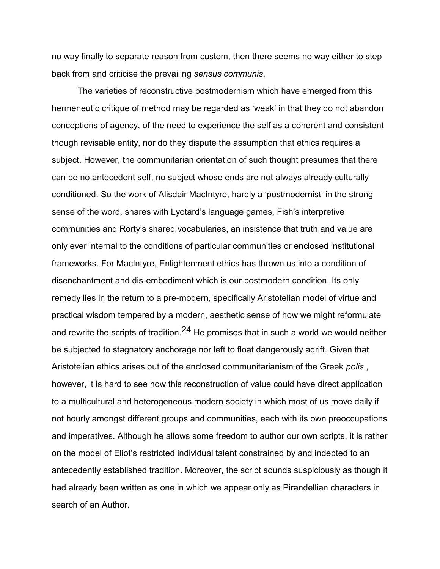no way finally to separate reason from custom, then there seems no way either to step back from and criticise the prevailing *sensus communis*.

The varieties of reconstructive postmodernism which have emerged from this hermeneutic critique of method may be regarded as 'weak' in that they do not abandon conceptions of agency, of the need to experience the self as a coherent and consistent though revisable entity, nor do they dispute the assumption that ethics requires a subject. However, the communitarian orientation of such thought presumes that there can be no antecedent self, no subject whose ends are not always already culturally conditioned. So the work of Alisdair MacIntyre, hardly a 'postmodernist' in the strong sense of the word, shares with Lyotard's language games, Fish's interpretive communities and Rorty's shared vocabularies, an insistence that truth and value are only ever internal to the conditions of particular communities or enclosed institutional frameworks. For MacIntyre, Enlightenment ethics has thrown us into a condition of disenchantment and dis-embodiment which is our postmodern condition. Its only remedy lies in the return to a pre-modern, specifically Aristotelian model of virtue and practical wisdom tempered by a modern, aesthetic sense of how we might reformulate and rewrite the scripts of tradition.  $24$  He promises that in such a world we would neither be subjected to stagnatory anchorage nor left to float dangerously adrift. Given that Aristotelian ethics arises out of the enclosed communitarianism of the Greek *polis* , however, it is hard to see how this reconstruction of value could have direct application to a multicultural and heterogeneous modern society in which most of us move daily if not hourly amongst different groups and communities, each with its own preoccupations and imperatives. Although he allows some freedom to author our own scripts, it is rather on the model of Eliot's restricted individual talent constrained by and indebted to an antecedently established tradition. Moreover, the script sounds suspiciously as though it had already been written as one in which we appear only as Pirandellian characters in search of an Author.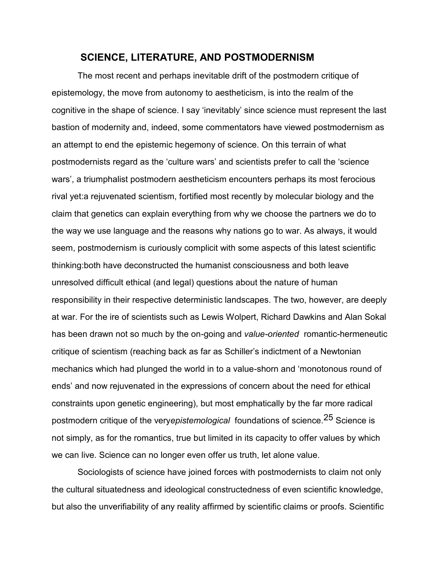## **SCIENCE, LITERATURE, AND POSTMODERNISM**

The most recent and perhaps inevitable drift of the postmodern critique of epistemology, the move from autonomy to aestheticism, is into the realm of the cognitive in the shape of science. I say 'inevitably' since science must represent the last bastion of modernity and, indeed, some commentators have viewed postmodernism as an attempt to end the epistemic hegemony of science. On this terrain of what postmodernists regard as the 'culture wars' and scientists prefer to call the 'science wars', a triumphalist postmodern aestheticism encounters perhaps its most ferocious rival yet:a rejuvenated scientism, fortified most recently by molecular biology and the claim that genetics can explain everything from why we choose the partners we do to the way we use language and the reasons why nations go to war. As always, it would seem, postmodernism is curiously complicit with some aspects of this latest scientific thinking:both have deconstructed the humanist consciousness and both leave unresolved difficult ethical (and legal) questions about the nature of human responsibility in their respective deterministic landscapes. The two, however, are deeply at war. For the ire of scientists such as Lewis Wolpert, Richard Dawkins and Alan Sokal has been drawn not so much by the on-going and *value-oriented* romantic-hermeneutic critique of scientism (reaching back as far as Schiller's indictment of a Newtonian mechanics which had plunged the world in to a value-shorn and 'monotonous round of ends' and now rejuvenated in the expressions of concern about the need for ethical constraints upon genetic engineering), but most emphatically by the far more radical postmodern critique of the very*epistemological* foundations of science.25 Science is not simply, as for the romantics, true but limited in its capacity to offer values by which we can live. Science can no longer even offer us truth, let alone value.

Sociologists of science have joined forces with postmodernists to claim not only the cultural situatedness and ideological constructedness of even scientific knowledge, but also the unverifiability of any reality affirmed by scientific claims or proofs. Scientific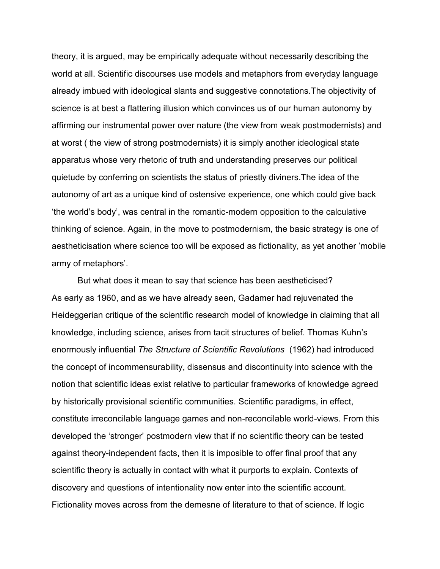theory, it is argued, may be empirically adequate without necessarily describing the world at all. Scientific discourses use models and metaphors from everyday language already imbued with ideological slants and suggestive connotations.The objectivity of science is at best a flattering illusion which convinces us of our human autonomy by affirming our instrumental power over nature (the view from weak postmodernists) and at worst ( the view of strong postmodernists) it is simply another ideological state apparatus whose very rhetoric of truth and understanding preserves our political quietude by conferring on scientists the status of priestly diviners.The idea of the autonomy of art as a unique kind of ostensive experience, one which could give back 'the world's body', was central in the romantic-modern opposition to the calculative thinking of science. Again, in the move to postmodernism, the basic strategy is one of aestheticisation where science too will be exposed as fictionality, as yet another 'mobile army of metaphors'.

But what does it mean to say that science has been aestheticised? As early as 1960, and as we have already seen, Gadamer had rejuvenated the Heideggerian critique of the scientific research model of knowledge in claiming that all knowledge, including science, arises from tacit structures of belief. Thomas Kuhn's enormously influential *The Structure of Scientific Revolutions* (1962) had introduced the concept of incommensurability, dissensus and discontinuity into science with the notion that scientific ideas exist relative to particular frameworks of knowledge agreed by historically provisional scientific communities. Scientific paradigms, in effect, constitute irreconcilable language games and non-reconcilable world-views. From this developed the 'stronger' postmodern view that if no scientific theory can be tested against theory-independent facts, then it is imposible to offer final proof that any scientific theory is actually in contact with what it purports to explain. Contexts of discovery and questions of intentionality now enter into the scientific account. Fictionality moves across from the demesne of literature to that of science. If logic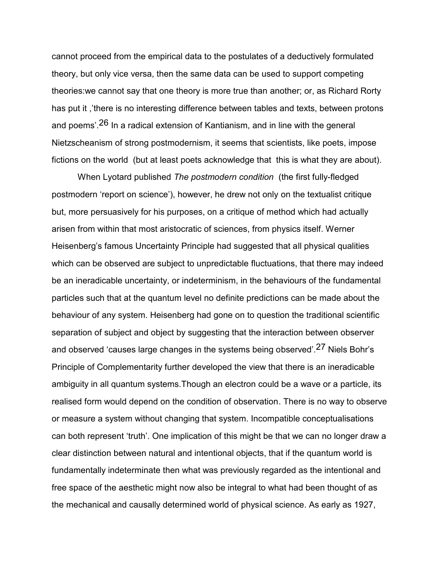cannot proceed from the empirical data to the postulates of a deductively formulated theory, but only vice versa, then the same data can be used to support competing theories:we cannot say that one theory is more true than another; or, as Richard Rorty has put it ,'there is no interesting difference between tables and texts, between protons and poems<sup>'. 26</sup> In a radical extension of Kantianism, and in line with the general Nietzscheanism of strong postmodernism, it seems that scientists, like poets, impose fictions on the world (but at least poets acknowledge that this is what they are about).

When Lyotard published *The postmodern condition* (the first fully-fledged postmodern 'report on science'), however, he drew not only on the textualist critique but, more persuasively for his purposes, on a critique of method which had actually arisen from within that most aristocratic of sciences, from physics itself. Werner Heisenberg's famous Uncertainty Principle had suggested that all physical qualities which can be observed are subject to unpredictable fluctuations, that there may indeed be an ineradicable uncertainty, or indeterminism, in the behaviours of the fundamental particles such that at the quantum level no definite predictions can be made about the behaviour of any system. Heisenberg had gone on to question the traditional scientific separation of subject and object by suggesting that the interaction between observer and observed 'causes large changes in the systems being observed'.<sup>27</sup> Niels Bohr's Principle of Complementarity further developed the view that there is an ineradicable ambiguity in all quantum systems.Though an electron could be a wave or a particle, its realised form would depend on the condition of observation. There is no way to observe or measure a system without changing that system. Incompatible conceptualisations can both represent 'truth'. One implication of this might be that we can no longer draw a clear distinction between natural and intentional objects, that if the quantum world is fundamentally indeterminate then what was previously regarded as the intentional and free space of the aesthetic might now also be integral to what had been thought of as the mechanical and causally determined world of physical science. As early as 1927,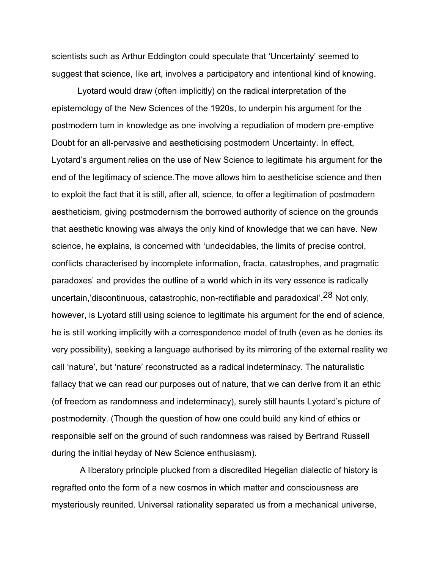scientists such as Arthur Eddington could speculate that 'Uncertainty' seemed to suggest that science, like art, involves a participatory and intentional kind of knowing.

Lyotard would draw (often implicitly) on the radical interpretation of the epistemology of the New Sciences of the 1920s, to underpin his argument for the postmodern turn in knowledge as one involving a repudiation of modern pre-emptive Doubt for an all-pervasive and aestheticising postmodern Uncertainty. In effect, Lyotard's argument relies on the use of New Science to legitimate his argument for the end of the legitimacy of science.The move allows him to aestheticise science and then to exploit the fact that it is still, after all, science, to offer a legitimation of postmodern aestheticism, giving postmodernism the borrowed authority of science on the grounds that aesthetic knowing was always the only kind of knowledge that we can have. New science, he explains, is concerned with 'undecidables, the limits of precise control, conflicts characterised by incomplete information, fracta, catastrophes, and pragmatic paradoxes' and provides the outline of a world which in its very essence is radically uncertain,'discontinuous, catastrophic, non-rectifiable and paradoxical'.28 Not only, however, is Lyotard still using science to legitimate his argument for the end of science, he is still working implicitly with a correspondence model of truth (even as he denies its very possibility), seeking a language authorised by its mirroring of the external reality we call 'nature', but 'nature' reconstructed as a radical indeterminacy. The naturalistic fallacy that we can read our purposes out of nature, that we can derive from it an ethic (of freedom as randomness and indeterminacy), surely still haunts Lyotard's picture of postmodernity. (Though the question of how one could build any kind of ethics or responsible self on the ground of such randomness was raised by Bertrand Russell during the initial heyday of New Science enthusiasm).

A liberatory principle plucked from a discredited Hegelian dialectic of history is regrafted onto the form of a new cosmos in which matter and consciousness are mysteriously reunited. Universal rationality separated us from a mechanical universe,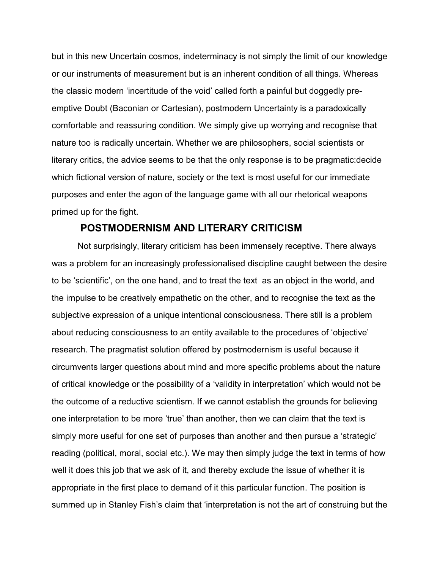but in this new Uncertain cosmos, indeterminacy is not simply the limit of our knowledge or our instruments of measurement but is an inherent condition of all things. Whereas the classic modern 'incertitude of the void' called forth a painful but doggedly preemptive Doubt (Baconian or Cartesian), postmodern Uncertainty is a paradoxically comfortable and reassuring condition. We simply give up worrying and recognise that nature too is radically uncertain. Whether we are philosophers, social scientists or literary critics, the advice seems to be that the only response is to be pragmatic:decide which fictional version of nature, society or the text is most useful for our immediate purposes and enter the agon of the language game with all our rhetorical weapons primed up for the fight.

## **POSTMODERNISM AND LITERARY CRITICISM**

Not surprisingly, literary criticism has been immensely receptive. There always was a problem for an increasingly professionalised discipline caught between the desire to be 'scientific', on the one hand, and to treat the text as an object in the world, and the impulse to be creatively empathetic on the other, and to recognise the text as the subjective expression of a unique intentional consciousness. There still is a problem about reducing consciousness to an entity available to the procedures of 'objective' research. The pragmatist solution offered by postmodernism is useful because it circumvents larger questions about mind and more specific problems about the nature of critical knowledge or the possibility of a 'validity in interpretation' which would not be the outcome of a reductive scientism. If we cannot establish the grounds for believing one interpretation to be more 'true' than another, then we can claim that the text is simply more useful for one set of purposes than another and then pursue a 'strategic' reading (political, moral, social etc.). We may then simply judge the text in terms of how well it does this job that we ask of it, and thereby exclude the issue of whether it is appropriate in the first place to demand of it this particular function. The position is summed up in Stanley Fish's claim that 'interpretation is not the art of construing but the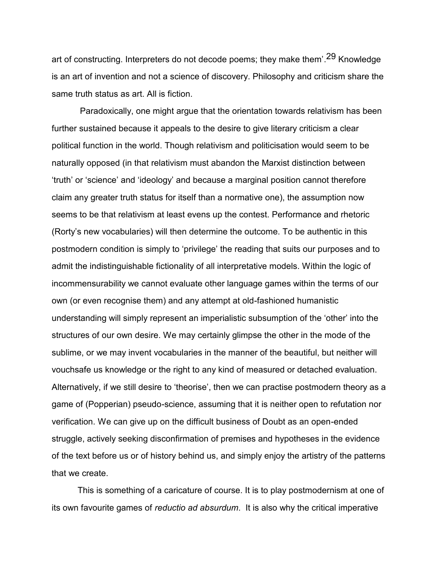art of constructing. Interpreters do not decode poems; they make them'.<sup>29</sup> Knowledge is an art of invention and not a science of discovery. Philosophy and criticism share the same truth status as art. All is fiction.

Paradoxically, one might argue that the orientation towards relativism has been further sustained because it appeals to the desire to give literary criticism a clear political function in the world. Though relativism and politicisation would seem to be naturally opposed (in that relativism must abandon the Marxist distinction between 'truth' or 'science' and 'ideology' and because a marginal position cannot therefore claim any greater truth status for itself than a normative one), the assumption now seems to be that relativism at least evens up the contest. Performance and rhetoric (Rorty's new vocabularies) will then determine the outcome. To be authentic in this postmodern condition is simply to 'privilege' the reading that suits our purposes and to admit the indistinguishable fictionality of all interpretative models. Within the logic of incommensurability we cannot evaluate other language games within the terms of our own (or even recognise them) and any attempt at old-fashioned humanistic understanding will simply represent an imperialistic subsumption of the 'other' into the structures of our own desire. We may certainly glimpse the other in the mode of the sublime, or we may invent vocabularies in the manner of the beautiful, but neither will vouchsafe us knowledge or the right to any kind of measured or detached evaluation. Alternatively, if we still desire to 'theorise', then we can practise postmodern theory as a game of (Popperian) pseudo-science, assuming that it is neither open to refutation nor verification. We can give up on the difficult business of Doubt as an open-ended struggle, actively seeking disconfirmation of premises and hypotheses in the evidence of the text before us or of history behind us, and simply enjoy the artistry of the patterns that we create.

This is something of a caricature of course. It is to play postmodernism at one of its own favourite games of *reductio ad absurdum*. It is also why the critical imperative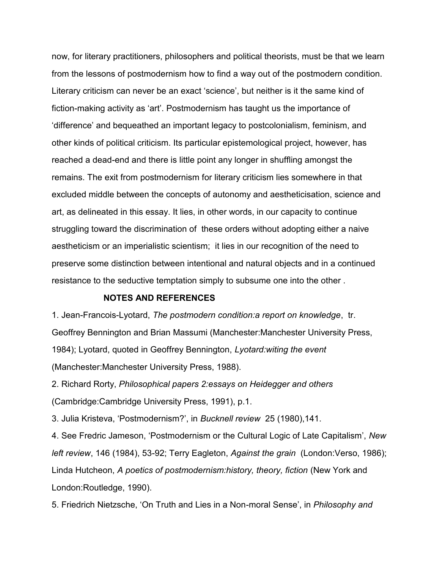now, for literary practitioners, philosophers and political theorists, must be that we learn from the lessons of postmodernism how to find a way out of the postmodern condition. Literary criticism can never be an exact 'science', but neither is it the same kind of fiction-making activity as 'art'. Postmodernism has taught us the importance of 'difference' and bequeathed an important legacy to postcolonialism, feminism, and other kinds of political criticism. Its particular epistemological project, however, has reached a dead-end and there is little point any longer in shuffling amongst the remains. The exit from postmodernism for literary criticism lies somewhere in that excluded middle between the concepts of autonomy and aestheticisation, science and art, as delineated in this essay. It lies, in other words, in our capacity to continue struggling toward the discrimination of these orders without adopting either a naive aestheticism or an imperialistic scientism; it lies in our recognition of the need to preserve some distinction between intentional and natural objects and in a continued resistance to the seductive temptation simply to subsume one into the other .

#### **NOTES AND REFERENCES**

1. Jean-Francois-Lyotard, *The postmodern condition:a report on knowledge*, tr. Geoffrey Bennington and Brian Massumi (Manchester:Manchester University Press, 1984); Lyotard, quoted in Geoffrey Bennington, *Lyotard:witing the event*  (Manchester:Manchester University Press, 1988).

2. Richard Rorty, *Philosophical papers 2:essays on Heidegger and others*  (Cambridge:Cambridge University Press, 1991), p.1.

3. Julia Kristeva, 'Postmodernism?', in *Bucknell review* 25 (1980),141.

4. See Fredric Jameson, 'Postmodernism or the Cultural Logic of Late Capitalism', *New left review*, 146 (1984), 53-92; Terry Eagleton, *Against the grain* (London:Verso, 1986); Linda Hutcheon, *A poetics of postmodernism:history, theory, fiction* (New York and London:Routledge, 1990).

5. Friedrich Nietzsche, 'On Truth and Lies in a Non-moral Sense', in *Philosophy and*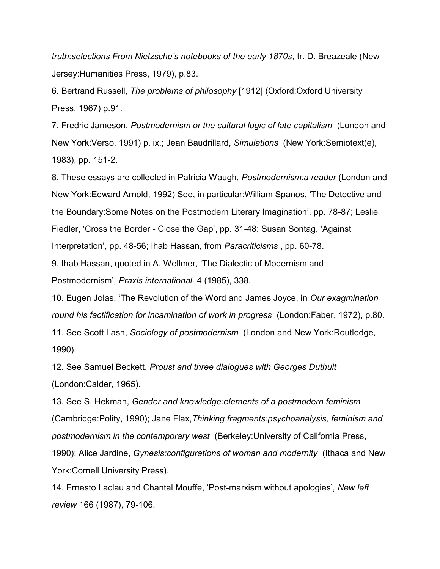*truth:selections From Nietzsche's notebooks of the early 1870s*, tr. D. Breazeale (New Jersey:Humanities Press, 1979), p.83.

6. Bertrand Russell, *The problems of philosophy* [1912] (Oxford:Oxford University Press, 1967) p.91.

7. Fredric Jameson, *Postmodernism or the cultural logic of late capitalism* (London and New York:Verso, 1991) p. ix.; Jean Baudrillard, *Simulations* (New York:Semiotext(e), 1983), pp. 151-2.

8. These essays are collected in Patricia Waugh, *Postmodernism:a reader* (London and New York:Edward Arnold, 1992) See, in particular:William Spanos, 'The Detective and the Boundary:Some Notes on the Postmodern Literary Imagination', pp. 78-87; Leslie Fiedler, 'Cross the Border - Close the Gap', pp. 31-48; Susan Sontag, 'Against Interpretation', pp. 48-56; Ihab Hassan, from *Paracriticisms* , pp. 60-78.

9. Ihab Hassan, quoted in A. Wellmer, 'The Dialectic of Modernism and Postmodernism', *Praxis international* 4 (1985), 338.

10. Eugen Jolas, 'The Revolution of the Word and James Joyce, in *Our exagmination round his factification for incamination of work in progress* (London:Faber, 1972), p.80.

11. See Scott Lash, *Sociology of postmodernism* (London and New York:Routledge, 1990).

12. See Samuel Beckett, *Proust and three dialogues with Georges Duthuit*  (London:Calder, 1965).

13. See S. Hekman, *Gender and knowledge:elements of a postmodern feminism* (Cambridge:Polity, 1990); Jane Flax,*Thinking fragments:psychoanalysis, feminism and postmodernism in the contemporary west* (Berkeley:University of California Press, 1990); Alice Jardine, *Gynesis:configurations of woman and modernity* (Ithaca and New York:Cornell University Press).

14. Ernesto Laclau and Chantal Mouffe, 'Post-marxism without apologies', *New left review* 166 (1987), 79-106.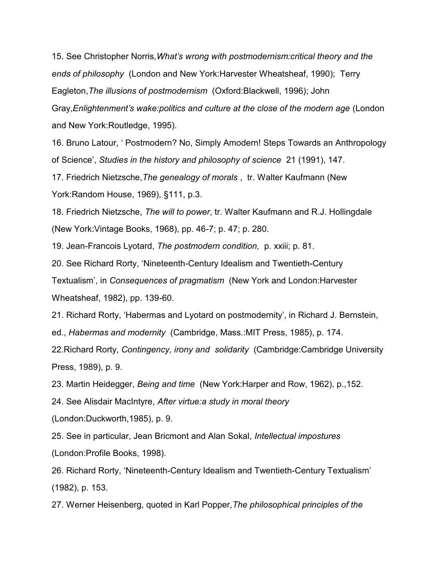15. See Christopher Norris,*What's wrong with postmodernism:critical theory and the ends of philosophy* (London and New York:Harvester Wheatsheaf, 1990); Terry Eagleton,*The illusions of postmodernism* (Oxford:Blackwell, 1996); John Gray,*Enlightenment's wake:politics and culture at the close of the modern age* (London and New York:Routledge, 1995).

16. Bruno Latour, ' Postmodern? No, Simply Amodern! Steps Towards an Anthropology of Science', *Studies in the history and philosophy of science* 21 (1991), 147.

17. Friedrich Nietzsche,*The genealogy of morals* , tr. Walter Kaufmann (New York:Random House, 1969), §111, p.3.

18. Friedrich Nietzsche, *The will to power*, tr. Walter Kaufmann and R.J. Hollingdale (New York:Vintage Books, 1968), pp. 46-7; p. 47; p. 280.

19. Jean-Francois Lyotard, *The postmodern condition,* p. xxiii; p. 81.

20. See Richard Rorty, 'Nineteenth-Century Idealism and Twentieth-Century Textualism', in *Consequences of pragmatism* (New York and London:Harvester Wheatsheaf, 1982), pp. 139-60.

21. Richard Rorty, 'Habermas and Lyotard on postmodernity', in Richard J. Bernstein,

ed., *Habermas and modernity* (Cambridge, Mass.:MIT Press, 1985), p. 174.

22.Richard Rorty, *Contingency, irony and solidarity* (Cambridge:Cambridge University Press, 1989), p. 9.

23. Martin Heidegger, *Being and time* (New York:Harper and Row, 1962), p.,152.

24. See Alisdair MacIntyre, *After virtue:a study in moral theory* 

(London:Duckworth,1985), p. 9.

25. See in particular, Jean Bricmont and Alan Sokal, *Intellectual impostures*  (London:Profile Books, 1998).

26. Richard Rorty, 'Nineteenth-Century Idealism and Twentieth-Century Textualism' (1982), p. 153.

27. Werner Heisenberg, quoted in Karl Popper,*The philosophical principles of the*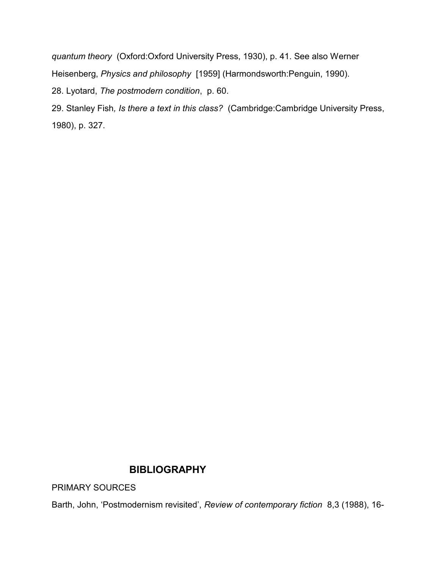*quantum theory* (Oxford:Oxford University Press, 1930), p. 41. See also Werner Heisenberg, *Physics and philosophy* [1959] (Harmondsworth:Penguin, 1990). 28. Lyotard, *The postmodern condition*, p. 60.

29. Stanley Fish*, Is there a text in this class?* (Cambridge:Cambridge University Press, 1980), p. 327.

## **BIBLIOGRAPHY**

PRIMARY SOURCES

Barth, John, 'Postmodernism revisited', *Review of contemporary fiction* 8,3 (1988), 16-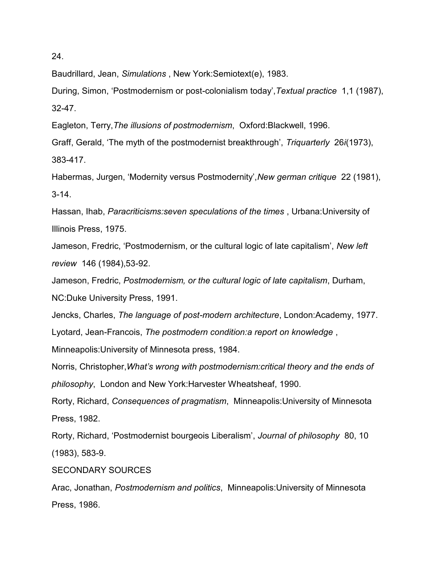24.

Baudrillard, Jean, *Simulations* , New York:Semiotext(e), 1983.

During, Simon, 'Postmodernism or post-colonialism today',*Textual practice* 1,1 (1987), 32-47.

Eagleton, Terry,*The illusions of postmodernism*, Oxford:Blackwell, 1996.

Graff, Gerald, 'The myth of the postmodernist breakthrough', *Triquarterly* 26*i*(1973), 383-417.

Habermas, Jurgen, 'Modernity versus Postmodernity',*New german critique* 22 (1981), 3-14.

Hassan, Ihab, *Paracriticisms:seven speculations of the times* , Urbana:University of Illinois Press, 1975.

Jameson, Fredric, 'Postmodernism, or the cultural logic of late capitalism', *New left review* 146 (1984),53-92.

Jameson, Fredric, *Postmodernism, or the cultural logic of late capitalism*, Durham,

NC:Duke University Press, 1991.

Jencks, Charles, *The language of post-modern architecture*, London:Academy, 1977.

Lyotard, Jean-Francois, *The postmodern condition:a report on knowledge* ,

Minneapolis:University of Minnesota press, 1984.

Norris, Christopher,*What's wrong with postmodernism:critical theory and the ends of philosophy*, London and New York:Harvester Wheatsheaf, 1990.

Rorty, Richard, *Consequences of pragmatism*, Minneapolis:University of Minnesota Press, 1982.

Rorty, Richard, 'Postmodernist bourgeois Liberalism', *Journal of philosophy* 80, 10 (1983), 583-9.

SECONDARY SOURCES

Arac, Jonathan, *Postmodernism and politics*, Minneapolis:University of Minnesota Press, 1986.